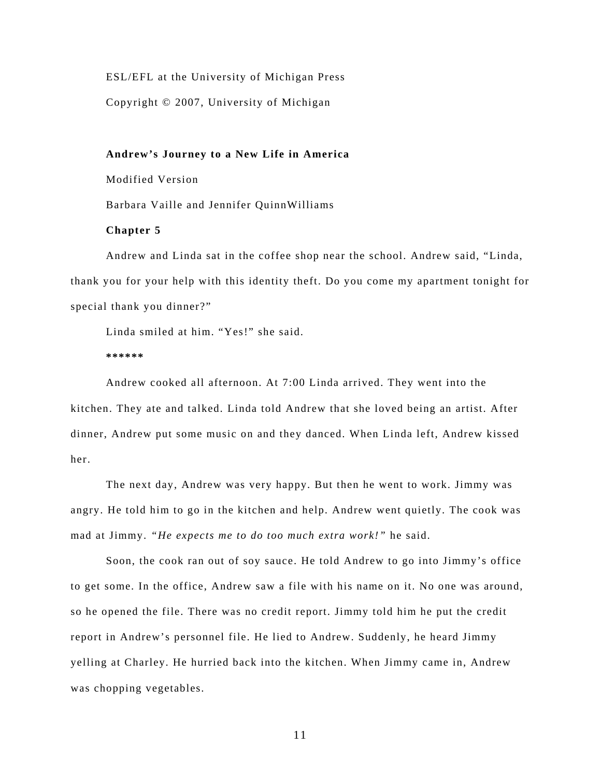ESL/EFL at the University of Michigan Press Copyright © 2007, University of Michigan

**Andrew's Journey to a New Life in America** 

Modified Version

Barbara Vaille and Jennifer QuinnWilliams

## **Chapter 5**

Andrew and Linda sat in the coffee shop near the school. Andrew said, "Linda, thank you for your help with this identity theft. Do you come my apartment tonight for special thank you dinner?"

Linda smiled at him. "Yes!" she said.

**\*\*\*\*\*\*** 

Andrew cooked all afternoon. At 7:00 Linda arrived. They went into the kitchen. They ate and talked. Linda told Andrew that she loved being an artist. After dinner, Andrew put some music on and they danced. When Linda left, Andrew kissed her.

The next day, Andrew was very happy. But then he went to work. Jimmy was angry. He told him to go in the kitchen and help. Andrew went quietly. The cook was mad at Jimmy. *"He expects me to do too much extra work!"* he said.

Soon, the cook ran out of soy sauce. He told Andrew to go into Jimmy's office to get some. In the office, Andrew saw a file with his name on it. No one was around, so he opened the file. There was no credit report. Jimmy told him he put the credit report in Andrew's personnel file. He lied to Andrew. Suddenly, he heard Jimmy yelling at Charley. He hurried back into the kitchen. When Jimmy came in, Andrew was chopping vegetables.

11